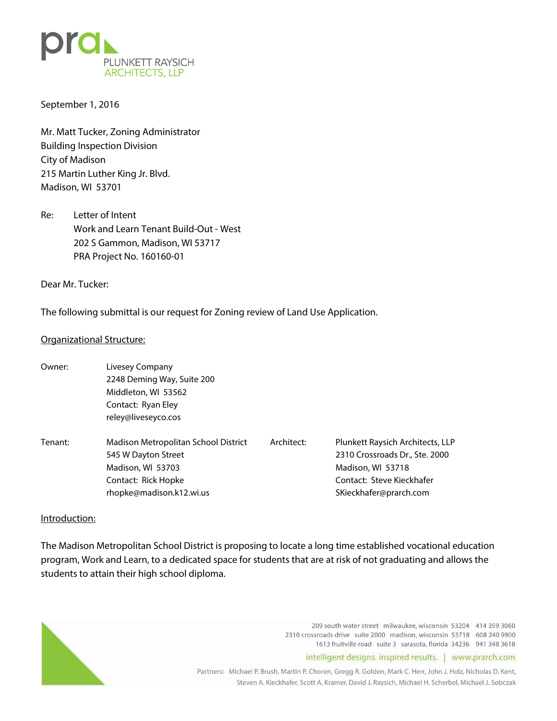

September 1, 2016

Mr. Matt Tucker, Zoning Administrator Building Inspection Division City of Madison 215 Martin Luther King Jr. Blvd. Madison, WI 53701

Re: Letter of Intent Work and Learn Tenant Build-Out - West 202 S Gammon, Madison, WI 53717 PRA Project No. 160160-01

Dear Mr. Tucker:

The following submittal is our request for Zoning review of Land Use Application.

### Organizational Structure:

Owner: Livesey Company 2248 Deming Way, Suite 200 Middleton, WI 53562 Contact: Ryan Eley reley@liveseyco.cos Tenant: Madison Metropolitan School District Architect: Plunkett Raysich Architects, LLP 545 W Dayton Street 2310 Crossroads Dr., Ste. 2000 Madison, WI 53703 Madison, WI 53718 Contact: Rick Hopke Contact: Steve Kieckhafer rhopke@madison.k12.wi.us SKieckhafer@prarch.com

## Introduction:

The Madison Metropolitan School District is proposing to locate a long time established vocational education program, Work and Learn, to a dedicated space for students that are at risk of not graduating and allows the students to attain their high school diploma.



209 south water street milwaukee, wisconsin 53204 414 359 3060 2310 crossroads drive suite 2000 madison, wisconsin 53718 608 240 9900 1613 fruitville road suite 3 sarasota, florida 34236 941 348 3618

intelligent designs. inspired results. | www.prarch.com

Partners: Michael P. Brush, Martin P. Choren, Gregg R. Golden, Mark C. Herr, John J. Holz, Nicholas D. Kent, Steven A. Kieckhafer, Scott A. Kramer, David J. Raysich, Michael H. Scherbel, Michael J. Sobczak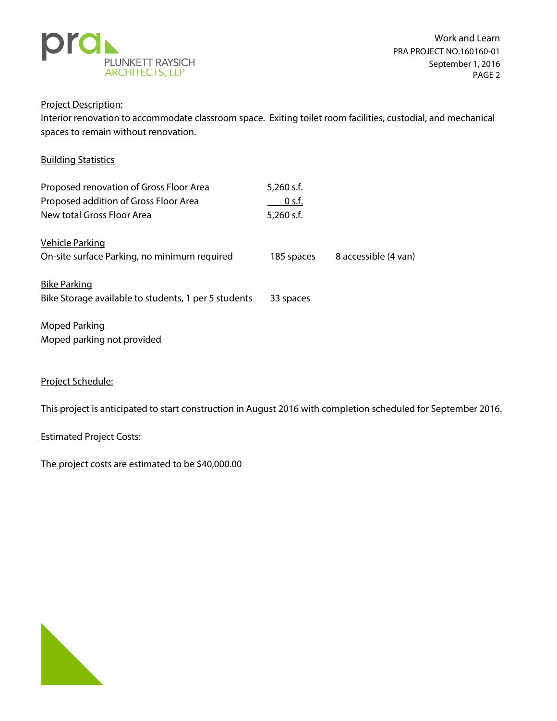

## Project Description:

Interior renovation to accommodate classroom space. Exiting toilet room facilities, custodial, and mechanical spaces to remain without renovation.

# Building Statistics

| Proposed renovation of Gross Floor Area<br>Proposed addition of Gross Floor Area<br>New total Gross Floor Area | $5,260$ s.f.<br>$0$ s.f.<br>5,260 s.f. |                      |
|----------------------------------------------------------------------------------------------------------------|----------------------------------------|----------------------|
| <b>Vehicle Parking</b><br>On-site surface Parking, no minimum required                                         | 185 spaces                             | 8 accessible (4 van) |
| <b>Bike Parking</b><br>Bike Storage available to students, 1 per 5 students                                    | 33 spaces                              |                      |
| <b>Moped Parking</b><br>Moped parking not provided                                                             |                                        |                      |

## Project Schedule:

This project is anticipated to start construction in August 2016 with completion scheduled for September 2016.

### Estimated Project Costs:

The project costs are estimated to be \$40,000.00